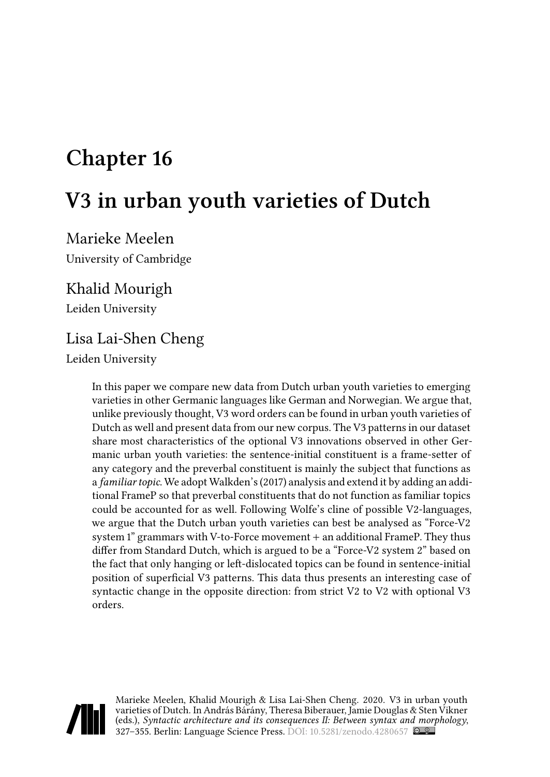# **Chapter 16**

# **V3 in urban youth varieties of Dutch**

Marieke Meelen University of Cambridge

### Khalid Mourigh

Leiden University

### Lisa Lai-Shen Cheng

Leiden University

In this paper we compare new data from Dutch urban youth varieties to emerging varieties in other Germanic languages like German and Norwegian. We argue that, unlike previously thought, V3 word orders can be found in urban youth varieties of Dutch as well and present data from our new corpus. The V3 patterns in our dataset share most characteristics of the optional V3 innovations observed in other Germanic urban youth varieties: the sentence-initial constituent is a frame-setter of any category and the preverbal constituent is mainly the subject that functions as a *familiar topic*. We adopt Walkden's (2017) analysis and extend it by adding an additional FrameP so that preverbal constituents that do not function as familiar topics could be accounted for as well. Following Wolfe's cline of possible V2-languages, we argue that the Dutch urban youth varieties can best be analysed as "Force-V2 system 1" grammars with V-to-Force movement + an additional FrameP. They thus differ from Standard Dutch, which is argued to be a "Force-V2 system 2" based on the fact that only hanging or left-dislocated topics can be found in sentence-initial position of superficial V3 patterns. This data thus presents an interesting case of syntactic change in the opposite direction: from strict V2 to V2 with optional V3 orders.



Marieke Meelen, Khalid Mourigh & Lisa Lai-Shen Cheng. 2020. V3 in urban youth varieties of Dutch. In András Bárány, Theresa Biberauer, Jamie Douglas & Sten Vikner (eds.), *Syntactic architecture and its consequences II: Between syntax and morphology*, 327–355. Berlin: Language Science Press. DOI: [10.5281/zenodo.4280657](https://doi.org/10.5281/zenodo.4280657)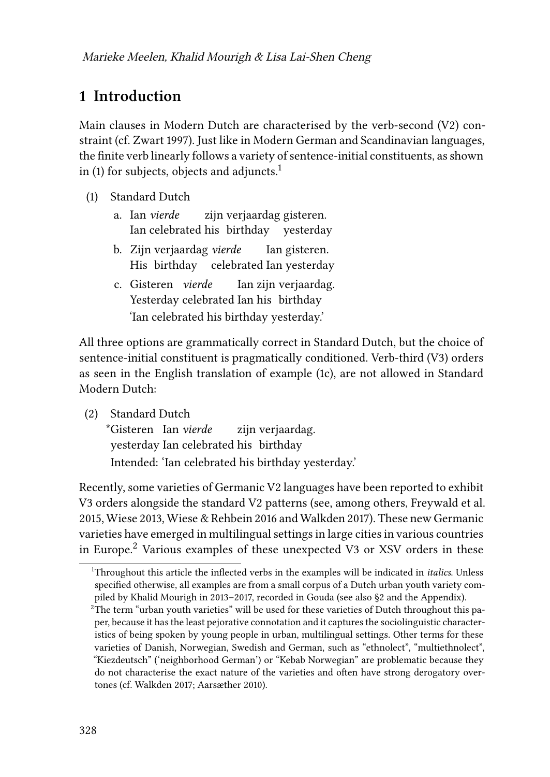# **1 Introduction**

Main clauses in Modern Dutch are characterised by the verb-second (V2) constraint (cf. [Zwart 1997](#page-28-0)). Just like in Modern German and Scandinavian languages, the finite verb linearly follows a variety of sentence-initial constituents, as shown in [\(1](#page-1-0)) for subjects, objects and adjuncts.<sup>1</sup>

- <span id="page-1-0"></span>(1) Standard Dutch
	- a. Ian *vierde* Ian celebrated his birthday yesterday zijn verjaardag gisteren.
	- b. Zijn verjaardag *vierde* His birthday celebrated Ian yesterday Ian gisteren.
	- c. Gisteren *vierde* Yesterday celebrated Ian his birthday Ian zijn verjaardag. 'Ian celebrated his birthday yesterday.'

<span id="page-1-1"></span>All three options are grammatically correct in Standard Dutch, but the choice of sentence-initial constituent is pragmatically conditioned. Verb-third (V3) orders as seen in the English translation of example [\(1c\)](#page-1-1), are not allowed in Standard Modern Dutch:

(2) Standard Dutch

\*Gisteren Ian *vierde* yesterday Ian celebrated his birthday zijn verjaardag. Intended: 'Ian celebrated his birthday yesterday.'

Recently, some varieties of Germanic V2 languages have been reported to exhibit V3 orders alongside the standard V2 patterns (see, among others, [Freywald et al.](#page-26-0) [2015,](#page-26-0) [Wiese 2013,](#page-27-0) [Wiese & Rehbein 2016](#page-28-1) and [Walkden 2017\)](#page-27-1). These new Germanic varieties have emerged in multilingual settings in large cities in various countries in Europe.<sup>2</sup> Various examples of these unexpected V3 or XSV orders in these

<sup>1</sup>Throughout this article the inflected verbs in the examples will be indicated in *italics*. Unless specified otherwise, all examples are from a small corpus of a Dutch urban youth variety compiled by Khalid Mourigh in 2013–2017, recorded in Gouda (see also §[2](#page-4-0) and the Appendix).

 $2$ The term "urban youth varieties" will be used for these varieties of Dutch throughout this paper, because it has the least pejorative connotation and it captures the sociolinguistic characteristics of being spoken by young people in urban, multilingual settings. Other terms for these varieties of Danish, Norwegian, Swedish and German, such as "ethnolect", "multiethnolect", "Kiezdeutsch" ('neighborhood German') or "Kebab Norwegian" are problematic because they do not characterise the exact nature of the varieties and often have strong derogatory overtones (cf. [Walkden 2017;](#page-27-1) [Aarsæther 2010\)](#page-25-0).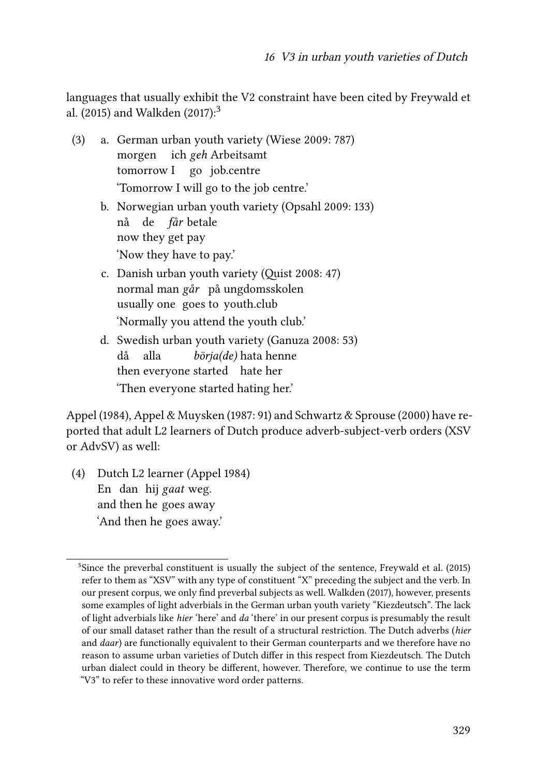languages that usually exhibit the V2 constraint have been cited by [Freywald et](#page-26-0) [al. \(2015\)](#page-26-0) and [Walkden \(2017\):](#page-27-1)<sup>3</sup>

- (3) a. German urban youth variety [\(Wiese 2009:](#page-27-2) 787) morgen ich *geh* Arbeitsamt tomorrow I go job.centre 'Tomorrow I will go to the job centre.'
	- b. Norwegian urban youth variety [\(Opsahl 2009](#page-27-3): 133) nå de *får* betale now they get pay 'Now they have to pay.'
	- c. Danish urban youth variety [\(Quist 2008:](#page-27-4) 47) normal man *går* på ungdomsskolen usually one goes to youth.club 'Normally you attend the youth club.'
	- d. Swedish urban youth variety [\(Ganuza 2008:](#page-26-1) 53) då then everyone started hate her alla *börja(de)* hata henne 'Then everyone started hating her.'

[Appel \(1984\),](#page-25-1) [Appel & Muysken \(1987](#page-25-2): 91) and [Schwartz & Sprouse \(2000\)](#page-27-5) have reported that adult L2 learners of Dutch produce adverb-subject-verb orders (XSV or AdvSV) as well:

(4) Dutch L2 learner [\(Appel 1984\)](#page-25-1) En dan hij *gaat* weg. and then he goes away 'And then he goes away.'

<sup>&</sup>lt;sup>3</sup>Since the preverbal constituent is usually the subject of the sentence, [Freywald et al. \(2015\)](#page-26-0) refer to them as "XSV" with any type of constituent "X" preceding the subject and the verb. In our present corpus, we only find preverbal subjects as well. [Walkden \(2017\),](#page-27-1) however, presents some examples of light adverbials in the German urban youth variety "Kiezdeutsch". The lack of light adverbials like *hier* 'here' and *da* 'there' in our present corpus is presumably the result of our small dataset rather than the result of a structural restriction. The Dutch adverbs (*hier* and *daar*) are functionally equivalent to their German counterparts and we therefore have no reason to assume urban varieties of Dutch differ in this respect from Kiezdeutsch. The Dutch urban dialect could in theory be different, however. Therefore, we continue to use the term "V3" to refer to these innovative word order patterns.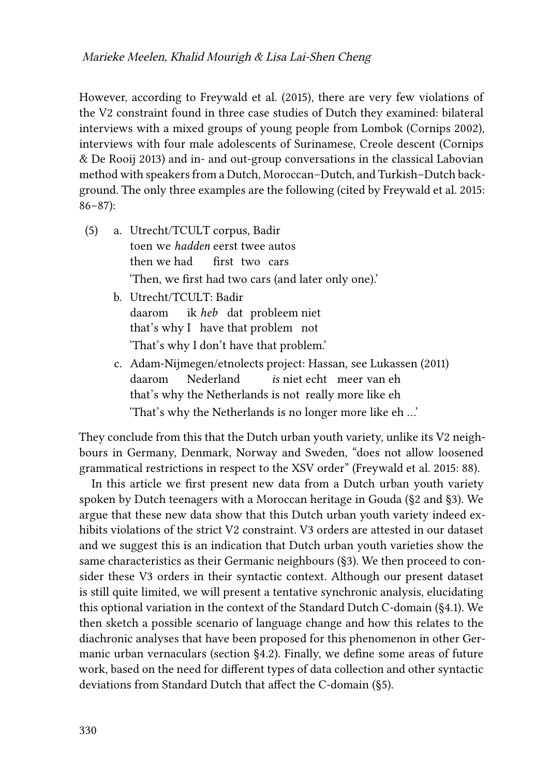However, according to [Freywald et al. \(2015\),](#page-26-0) there are very few violations of the V2 constraint found in three case studies of Dutch they examined: bilateral interviews with a mixed groups of young people from Lombok([Cornips 2002](#page-25-3)), interviews with four male adolescents of Surinamese, Creole descent [\(Cornips](#page-25-4) [& De Rooij 2013\)](#page-25-4) and in- and out-group conversations in the classical Labovian method with speakers from a Dutch, Moroccan–Dutch, and Turkish–Dutch background. The only three examples are the following (cited by [Freywald et al. 2015](#page-26-0): 86–87):

- (5) a. Utrecht/TCULT corpus, Badir toen we *hadden* eerst twee autos then we had first two cars 'Then, we first had two cars (and later only one).'
	- b. Utrecht/TCULT: Badir daarom ik *heb* dat probleem niet that's why I have that problem not 'That's why I don't have that problem.'
	- c. Adam-Nijmegen/etnolects project: Hassan, see [Lukassen \(2011\)](#page-26-2) daarom that's why the Netherlands is not really more like eh Nederland is niet echt meer van eh 'That's why the Netherlands is no longer more like eh …'

They conclude from this that the Dutch urban youth variety, unlike its V2 neighbours in Germany, Denmark, Norway and Sweden, "does not allow loosened grammatical restrictions in respect to the XSV order" [\(Freywald et al. 2015:](#page-26-0) 88).

In this article we first present new data from a Dutch urban youth variety spoken by Dutch teenagers with a Moroccan heritage in Gouda ([§2](#page-4-0) and§[3\)](#page-5-0). We argue that these new data show that this Dutch urban youth variety indeed exhibits violations of the strict V2 constraint. V3 orders are attested in our dataset and we suggest this is an indication that Dutch urban youth varieties show the same characteristics as their Germanic neighbours (§[3\)](#page-5-0). We then proceed to consider these V3 orders in their syntactic context. Although our present dataset is still quite limited, we will present a tentative synchronic analysis, elucidating this optional variation in the context of the Standard Dutch C-domain (§[4.1](#page-14-0)). We then sketch a possible scenario of language change and how this relates to the diachronic analyses that have been proposed for this phenomenon in other Germanic urban vernaculars (section §[4.2](#page-17-0)). Finally, we define some areas of future work, based on the need for different types of data collection and other syntactic deviations from Standard Dutch that affect the C-domain (§[5](#page-22-0)).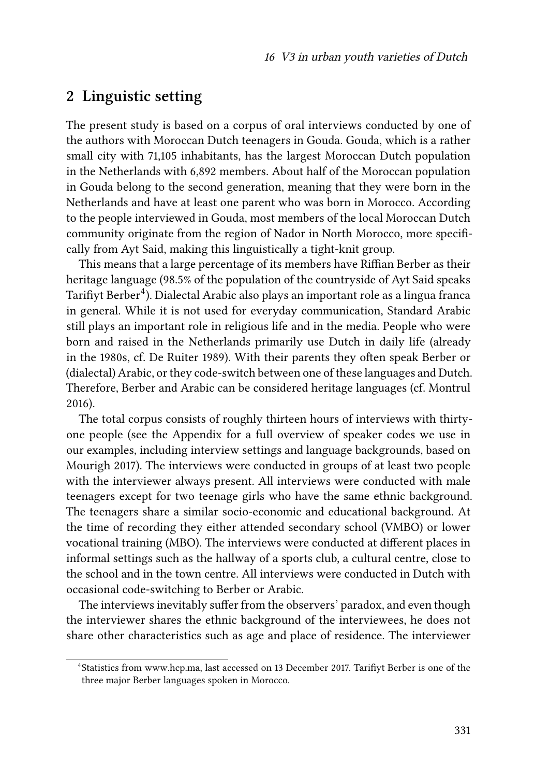### <span id="page-4-0"></span>**2 Linguistic setting**

The present study is based on a corpus of oral interviews conducted by one of the authors with Moroccan Dutch teenagers in Gouda. Gouda, which is a rather small city with 71,105 inhabitants, has the largest Moroccan Dutch population in the Netherlands with 6,892 members. About half of the Moroccan population in Gouda belong to the second generation, meaning that they were born in the Netherlands and have at least one parent who was born in Morocco. According to the people interviewed in Gouda, most members of the local Moroccan Dutch community originate from the region of Nador in North Morocco, more specifically from Ayt Said, making this linguistically a tight-knit group.

This means that a large percentage of its members have Riffian Berber as their heritage language (98.5% of the population of the countryside of Ayt Said speaks Tarifiyt Berber $^4$ ). Dialectal Arabic also plays an important role as a lingua franca in general. While it is not used for everyday communication, Standard Arabic still plays an important role in religious life and in the media. People who were born and raised in the Netherlands primarily use Dutch in daily life (already in the 1980s, cf. [De Ruiter 1989\)](#page-25-5). With their parents they often speak Berber or (dialectal) Arabic, or they code-switch between one of these languages and Dutch. Therefore, Berber and Arabic can be considered heritage languages (cf. [Montrul](#page-26-3) [2016\)](#page-26-3).

The total corpus consists of roughly thirteen hours of interviews with thirtyone people (see the Appendix for a full overview of speaker codes we use in our examples, including interview settings and language backgrounds, based on [Mourigh 2017](#page-26-4)). The interviews were conducted in groups of at least two people with the interviewer always present. All interviews were conducted with male teenagers except for two teenage girls who have the same ethnic background. The teenagers share a similar socio-economic and educational background. At the time of recording they either attended secondary school (VMBO) or lower vocational training (MBO). The interviews were conducted at different places in informal settings such as the hallway of a sports club, a cultural centre, close to the school and in the town centre. All interviews were conducted in Dutch with occasional code-switching to Berber or Arabic.

The interviews inevitably suffer from the observers' paradox, and even though the interviewer shares the ethnic background of the interviewees, he does not share other characteristics such as age and place of residence. The interviewer

<sup>&</sup>lt;sup>4</sup>Statistics from <www.hcp.ma>, last accessed on 13 December 2017. Tarifiyt Berber is one of the three major Berber languages spoken in Morocco.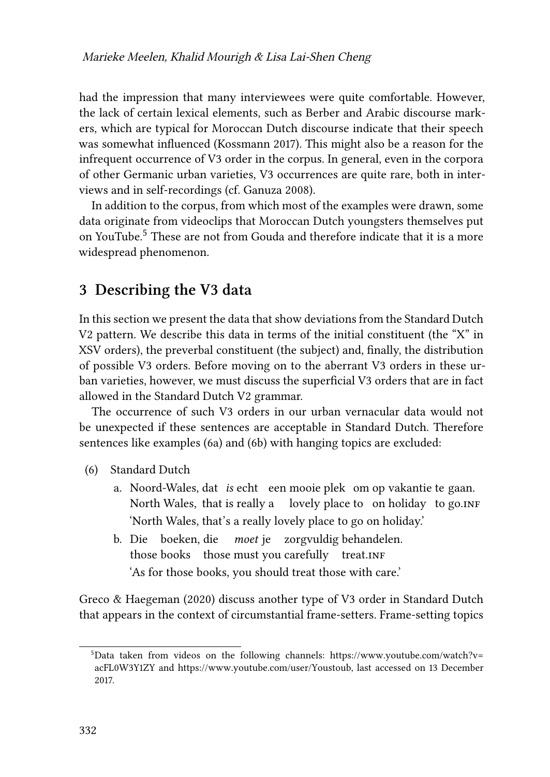had the impression that many interviewees were quite comfortable. However, the lack of certain lexical elements, such as Berber and Arabic discourse markers, which are typical for Moroccan Dutch discourse indicate that their speech was somewhat influenced([Kossmann 2017](#page-26-5)). This might also be a reason for the infrequent occurrence of V3 order in the corpus. In general, even in the corpora of other Germanic urban varieties, V3 occurrences are quite rare, both in interviews and in self-recordings (cf. [Ganuza 2008\)](#page-26-1).

In addition to the corpus, from which most of the examples were drawn, some data originate from videoclips that Moroccan Dutch youngsters themselves put on YouTube.<sup>5</sup> These are not from Gouda and therefore indicate that it is a more widespread phenomenon.

### <span id="page-5-0"></span>**3 Describing the V3 data**

In this section we present the data that show deviations from the Standard Dutch V2 pattern. We describe this data in terms of the initial constituent (the "X" in XSV orders), the preverbal constituent (the subject) and, finally, the distribution of possible V3 orders. Before moving on to the aberrant V3 orders in these urban varieties, however, we must discuss the superficial V3 orders that are in fact allowed in the Standard Dutch V2 grammar.

The occurrence of such V3 orders in our urban vernacular data would not be unexpected if these sentences are acceptable in Standard Dutch. Therefore sentences like examples([6a\)](#page-5-1) and [\(6b\)](#page-5-2) with hanging topics are excluded:

- <span id="page-5-1"></span>(6) Standard Dutch
	- a. Noord-Wales, dat *is* echt een mooie plek om op vakantie te gaan. North Wales, that is really a lovely place to on holiday to go.inF 'North Wales, that's a really lovely place to go on holiday.'
	- b. Die boeken, die *moet* je zorgvuldig behandelen. those books those must you carefully treat.INF 'As for those books, you should treat those with care.'

<span id="page-5-2"></span>[Greco & Haegeman \(2020\)](#page-26-6) discuss another type of V3 order in Standard Dutch that appears in the context of circumstantial frame-setters. Frame-setting topics

 $5$ Data taken from videos on the following channels: [https://www.youtube.com/watch?v=](https://www.youtube.com/watch?v=acFL0W3Y1ZY) [acFL0W3Y1ZY](https://www.youtube.com/watch?v=acFL0W3Y1ZY) and [https://www.youtube.com/user/Youstoub,](https://www.youtube.com/user/Youstoub) last accessed on 13 December 2017.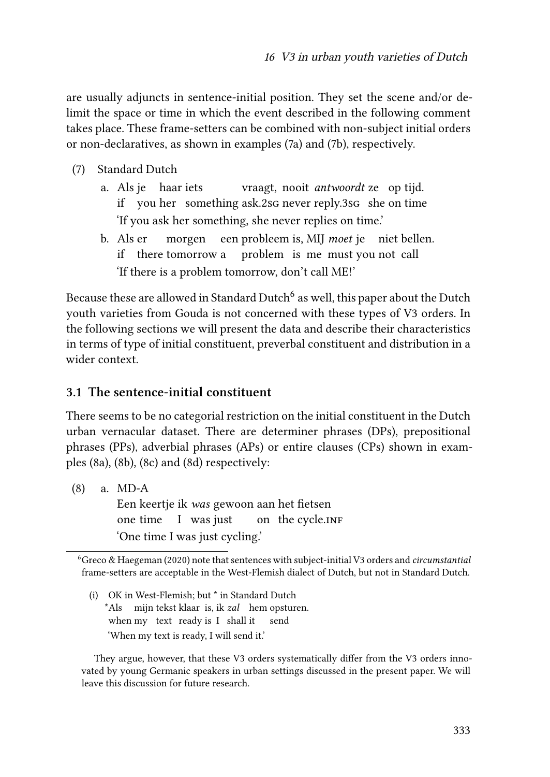are usually adjuncts in sentence-initial position. They set the scene and/or delimit the space or time in which the event described in the following comment takes place. These frame-setters can be combined with non-subject initial orders or non-declaratives, as shown in examples([7a\)](#page-6-0) and [\(7b](#page-6-1)), respectively.

- <span id="page-6-0"></span>(7) Standard Dutch
	- a. Als je haar iets if you her something ask.2sg never reply.3sg she on time vraagt, nooit *antwoordt* ze op tijd. 'If you ask her something, she never replies on time.'
	- b. Als er if there tomorrow a morgen een probleem is, MIJ *moet* je niet bellen. problem is me must you not call 'If there is a problem tomorrow, don't call ME!'

<span id="page-6-1"></span>Because these are allowed in Standard Dutch $^6$  as well, this paper about the Dutch youth varieties from Gouda is not concerned with these types of V3 orders. In the following sections we will present the data and describe their characteristics in terms of type of initial constituent, preverbal constituent and distribution in a wider context.

#### <span id="page-6-3"></span>**3.1 The sentence-initial constituent**

There seems to be no categorial restriction on the initial constituent in the Dutch urban vernacular dataset. There are determiner phrases (DPs), prepositional phrases (PPs), adverbial phrases (APs) or entire clauses (CPs) shown in examples([8a\)](#page-6-2), [\(8b\)](#page-7-0),([8c](#page-7-1)) and([8d](#page-7-2)) respectively:

<span id="page-6-2"></span>(8) a. MD-A

Een keertje ik *was* gewoon aan het fietsen one time I was just on the cycle.INF 'One time I was just cycling.'

(i) OK in West-Flemish; but \* in Standard Dutch \*Als mijn tekst klaar is, ik *zal* hem opsturen. when my text ready is I shall it send 'When my text is ready, I will send it.'

They argue, however, that these V3 orders systematically differ from the V3 orders innovated by young Germanic speakers in urban settings discussed in the present paper. We will leave this discussion for future research.

<sup>6</sup>[Greco & Haegeman \(2020\)](#page-26-6) note that sentences with subject-initial V3 orders and *circumstantial* frame-setters are acceptable in the West-Flemish dialect of Dutch, but not in Standard Dutch.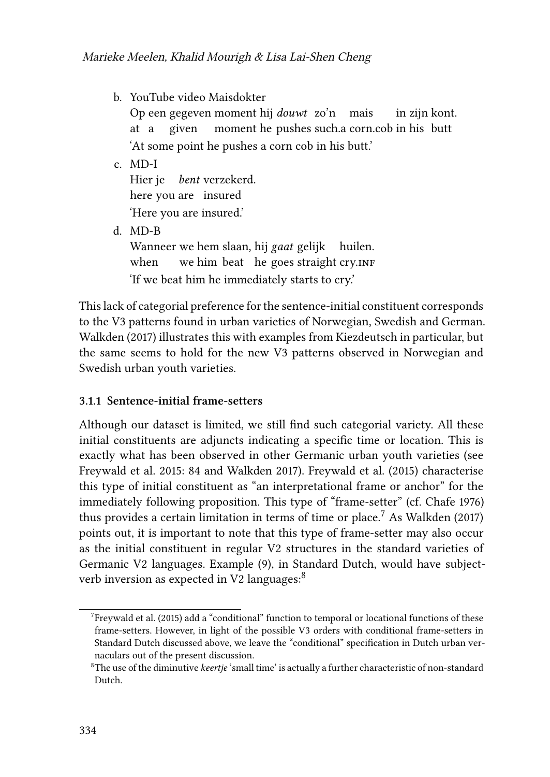<span id="page-7-0"></span>b. YouTube video Maisdokter

Op een gegeven moment hij *douwt* zo'n mais at a given moment he pushes such.a corn.cob in his butt in zijn kont. 'At some point he pushes a corn cob in his butt.'

<span id="page-7-1"></span>c. MD-I

Hier je *bent* verzekerd. here you are insured 'Here you are insured.'

<span id="page-7-2"></span>d. MD-B

Wanneer we hem slaan, hij *gaat* gelijk huilen. when we him beat he goes straight cry.INF 'If we beat him he immediately starts to cry.'

This lack of categorial preference for the sentence-initial constituent corresponds to the V3 patterns found in urban varieties of Norwegian, Swedish and German. [Walkden \(2017\)](#page-27-1) illustrates this with examples from Kiezdeutsch in particular, but the same seems to hold for the new V3 patterns observed in Norwegian and Swedish urban youth varieties.

#### **3.1.1 Sentence-initial frame-setters**

Although our dataset is limited, we still find such categorial variety. All these initial constituents are adjuncts indicating a specific time or location. This is exactly what has been observed in other Germanic urban youth varieties (see [Freywald et al. 2015](#page-26-0): 84 and [Walkden 2017](#page-27-1)). [Freywald et al. \(2015\)](#page-26-0) characterise this type of initial constituent as "an interpretational frame or anchor" for the immediately following proposition. This type of "frame-setter" (cf. [Chafe 1976](#page-25-6)) thus provides a certain limitation in terms of time or place.<sup>7</sup> As [Walkden \(2017\)](#page-27-1) points out, it is important to note that this type of frame-setter may also occur as the initial constituent in regular V2 structures in the standard varieties of Germanic V2 languages. Example [\(9\)](#page-8-0), in Standard Dutch, would have subjectverb inversion as expected in V2 languages:<sup>8</sup>

 $7$ [Freywald et al. \(2015\)](#page-26-0) add a "conditional" function to temporal or locational functions of these frame-setters. However, in light of the possible V3 orders with conditional frame-setters in Standard Dutch discussed above, we leave the "conditional" specification in Dutch urban vernaculars out of the present discussion.

<sup>8</sup>The use of the diminutive *keertje* 'small time' is actually a further characteristic of non-standard Dutch.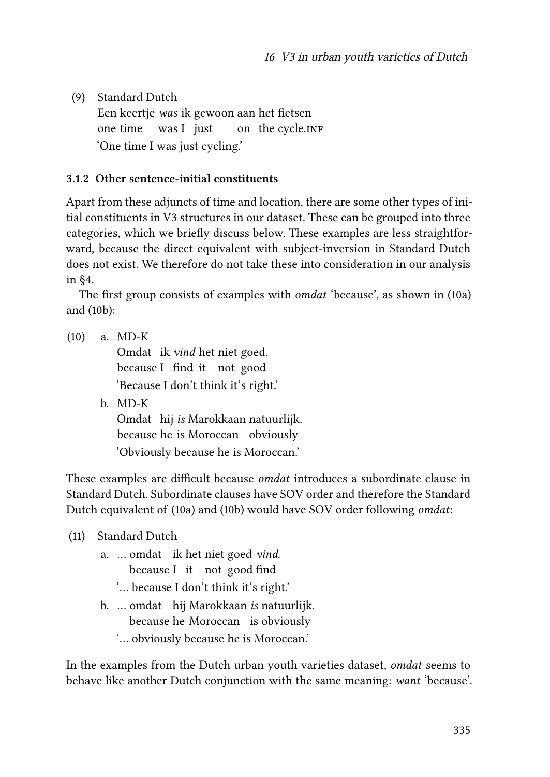<span id="page-8-0"></span>(9) Standard Dutch Een keertje *was* ik gewoon aan het fietsen one time was I just on) the cycle.inF 'One time I was just cycling.'

#### **3.1.2 Other sentence-initial constituents**

Apart from these adjuncts of time and location, there are some other types of initial constituents in V3 structures in our dataset. These can be grouped into three categories, which we briefly discuss below. These examples are less straightforward, because the direct equivalent with subject-inversion in Standard Dutch does not exist. We therefore do not take these into consideration in our analysis in§[4](#page-14-1).

The first group consists of examples with *omdat* 'because', as shown in([10a\)](#page-8-1) and([10b](#page-8-2)):

<span id="page-8-1"></span>(10) a. MD-K

Omdat ik *vind* het niet goed. because I find it not good 'Because I don't think it's right.'

<span id="page-8-2"></span>b. MD-K Omdat hij *is* Marokkaan natuurlijk. because he is Moroccan obviously 'Obviously because he is Moroccan.'

These examples are difficult because *omdat* introduces a subordinate clause in Standard Dutch. Subordinate clauses have SOV order and therefore the Standard Dutch equivalent of [\(10a\)](#page-8-1) and [\(10b\)](#page-8-2) would have SOV order following *omdat*:

- (11) Standard Dutch
	- a. … omdat ik het niet goed *vind*. because I it not good find
		- '… because I don't think it's right.'
	- b. … omdat hij Marokkaan *is* natuurlijk. because he Moroccan is obviously '… obviously because he is Moroccan.'

In the examples from the Dutch urban youth varieties dataset, *omdat* seems to behave like another Dutch conjunction with the same meaning: *want* 'because'.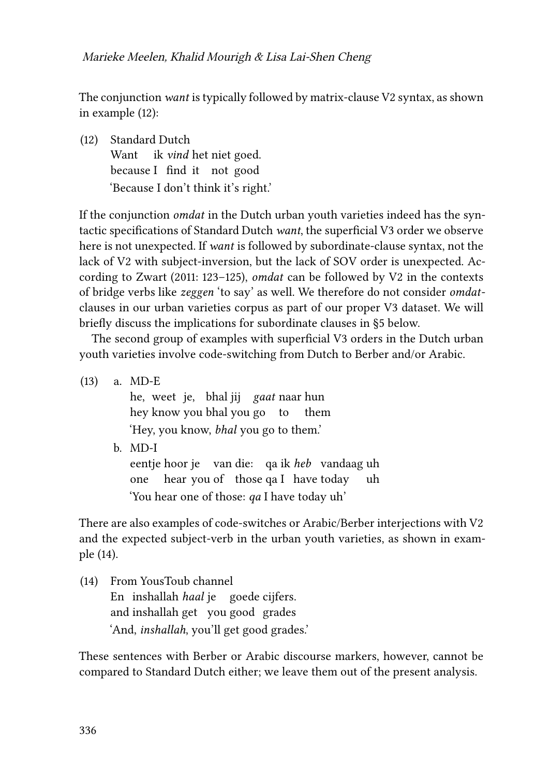The conjunction *want* is typically followed by matrix-clause V2 syntax, as shown in example [\(12](#page-9-0)):

<span id="page-9-0"></span>(12) Standard Dutch Want ik *vind* het niet goed. because I find it not good 'Because I don't think it's right.'

If the conjunction *omdat* in the Dutch urban youth varieties indeed has the syntactic specifications of Standard Dutch *want*, the superficial V3 order we observe here is not unexpected. If *want* is followed by subordinate-clause syntax, not the lack of V2 with subject-inversion, but the lack of SOV order is unexpected. According to [Zwart \(2011](#page-28-2): 123–125), *omdat* can be followed by V2 in the contexts of bridge verbs like *zeggen* 'to say' as well. We therefore do not consider *omdat*clauses in our urban varieties corpus as part of our proper V3 dataset. We will briefly discuss the implications for subordinate clauses in [§5](#page-22-0) below.

The second group of examples with superficial V3 orders in the Dutch urban youth varieties involve code-switching from Dutch to Berber and/or Arabic.

(13) a. MD-E he, weet je, bhal jij *gaat* naar hun hey know you bhal you go to them 'Hey, you know, *bhal* you go to them.' b. MD-I eentje hoor je van die: qa ik *heb* vandaag uh one hear you of those qa I have today uh 'You hear one of those: *qa* I have today uh'

There are also examples of code-switches or Arabic/Berber interjections with V2 and the expected subject-verb in the urban youth varieties, as shown in example([14](#page-9-1)).

<span id="page-9-1"></span>(14) From YousToub channel En inshallah *haal* je goede cijfers. and inshallah get you good grades 'And, *inshallah*, you'll get good grades.'

These sentences with Berber or Arabic discourse markers, however, cannot be compared to Standard Dutch either; we leave them out of the present analysis.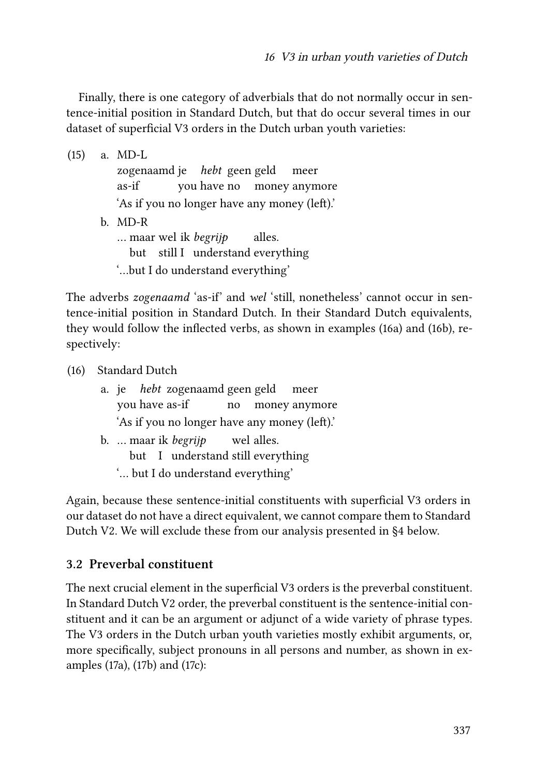Finally, there is one category of adverbials that do not normally occur in sentence-initial position in Standard Dutch, but that do occur several times in our dataset of superficial V3 orders in the Dutch urban youth varieties:

(15) a. MD-L zogenaamd je *hebt* geen geld as-if you have no money anymore meer 'As if you no longer have any money (left).' b. MD-R … maar wel ik *begrijp* but still I understand everything alles. '…but I do understand everything'

The adverbs *zogenaamd* 'as-if' and *wel* 'still, nonetheless' cannot occur in sentence-initial position in Standard Dutch. In their Standard Dutch equivalents, they would follow the inflected verbs, as shown in examples [\(16a\)](#page-10-0) and([16b](#page-10-1)), respectively:

<span id="page-10-0"></span>(16) Standard Dutch

<span id="page-10-1"></span>

|                                              |  | a. je <i>hebt</i> zogenaamd geen geld meer |    |  |               |
|----------------------------------------------|--|--------------------------------------------|----|--|---------------|
| you have as-if                               |  |                                            | no |  | money anymore |
| 'As if you no longer have any money (left).' |  |                                            |    |  |               |
|                                              |  | b.  maar ik <i>begrijp</i> wel alles.      |    |  |               |
|                                              |  | but I understand still everything          |    |  |               |

'… but I do understand everything'

Again, because these sentence-initial constituents with superficial V3 orders in our dataset do not have a direct equivalent, we cannot compare them to Standard Dutch V2. We will exclude these from our analysis presented in§[4](#page-14-1) below.

#### **3.2 Preverbal constituent**

The next crucial element in the superficial V3 orders is the preverbal constituent. In Standard Dutch V2 order, the preverbal constituent is the sentence-initial constituent and it can be an argument or adjunct of a wide variety of phrase types. The V3 orders in the Dutch urban youth varieties mostly exhibit arguments, or, more specifically, subject pronouns in all persons and number, as shown in examples [\(17a](#page-11-0)), [\(17b](#page-11-1)) and [\(17c](#page-11-2)):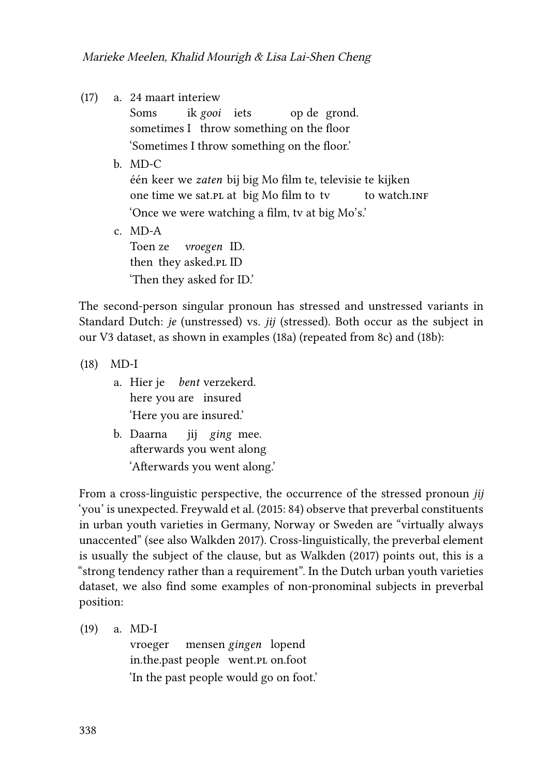<span id="page-11-0"></span>(17) a. 24 maart interiew

Soms sometimes I throw something on the floor ik *gooi* iets op de grond. 'Sometimes I throw something on the floor.'

<span id="page-11-1"></span>b. MD-C

één keer we *zaten* bij big Mo film te, televisie te kijken one time we sat.pl at big Mo film to tv to watch.in**F** 'Once we were watching a film, tv at big Mo's.'

<span id="page-11-2"></span> $c$  MD-A Toen ze then they asked.pl ID *vroegen* ID. 'Then they asked for ID.'

The second-person singular pronoun has stressed and unstressed variants in Standard Dutch: *je* (unstressed) vs. *jij* (stressed). Both occur as the subject in our V3 dataset, as shown in examples [\(18a](#page-11-3)) (repeated from [8c\)](#page-7-1) and [\(18b\)](#page-11-4):

<span id="page-11-3"></span>(18) MD-I

- a. Hier je *bent* verzekerd. here you are insured 'Here you are insured.'
- <span id="page-11-4"></span>b. Daarna afterwards you went along jij *ging* mee. 'Afterwards you went along.'

From a cross-linguistic perspective, the occurrence of the stressed pronoun *jij* 'you' is unexpected. [Freywald et al. \(2015:](#page-26-0) 84) observe that preverbal constituents in urban youth varieties in Germany, Norway or Sweden are "virtually always unaccented" (see also [Walkden 2017](#page-27-1)). Cross-linguistically, the preverbal element is usually the subject of the clause, but as [Walkden \(2017\)](#page-27-1) points out, this is a "strong tendency rather than a requirement". In the Dutch urban youth varieties dataset, we also find some examples of non-pronominal subjects in preverbal position:

<span id="page-11-5"></span>(19) a. MD-I vroeger in.the.past people went.pl on.foot mensen *gingen* lopend 'In the past people would go on foot.'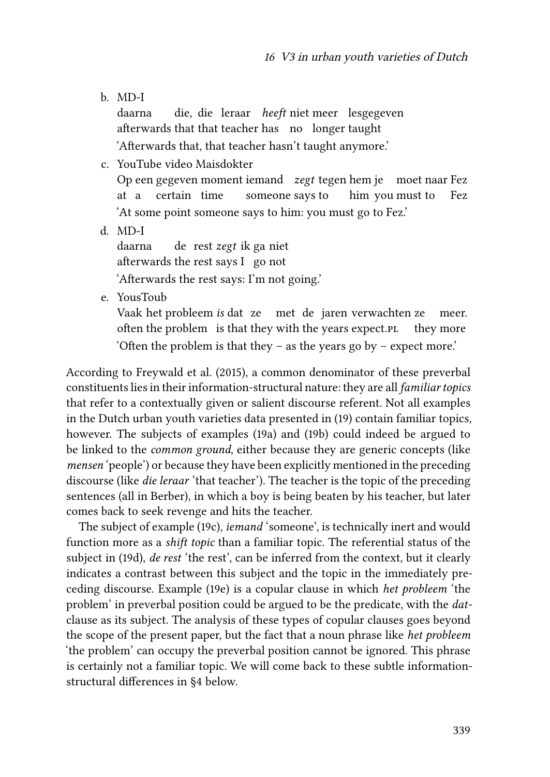<span id="page-12-0"></span>b. MD-I

daarna afterwards that that teacher has no longer taught die, die leraar *heeft* niet meer lesgegeven 'Afterwards that, that teacher hasn't taught anymore.'

- <span id="page-12-1"></span>c. YouTube video Maisdokter Op een gegeven moment iemand *zegt* tegen hem je moet naar Fez at a certain time someone says to him you must to Fez 'At some point someone says to him: you must go to Fez.'
- <span id="page-12-2"></span>d. MD-I

daarna afterwards the rest says I go not de rest *zegt* ik ga niet 'Afterwards the rest says: I'm not going.'

<span id="page-12-3"></span>e. YousToub

Vaak het probleem *is* dat ze met de jaren verwachten ze often the problem is that they with the years expect.pl they more meer. 'Often the problem is that they – as the years go by – expect more.'

According to [Freywald et al. \(2015\)](#page-26-0), a common denominator of these preverbal constituents lies in their information-structural nature: they are all *familiar topics* that refer to a contextually given or salient discourse referent. Not all examples in the Dutch urban youth varieties data presented in [\(19\)](#page-11-5) contain familiar topics, however. The subjects of examples [\(19a](#page-11-5)) and [\(19b\)](#page-12-0) could indeed be argued to be linked to the *common ground*, either because they are generic concepts (like *mensen* 'people') or because they have been explicitly mentioned in the preceding discourse (like *die leraar* 'that teacher'). The teacher is the topic of the preceding sentences (all in Berber), in which a boy is being beaten by his teacher, but later comes back to seek revenge and hits the teacher.

The subject of example([19c\)](#page-12-1), *iemand* 'someone', is technically inert and would function more as a *shift topic* than a familiar topic. The referential status of the subject in [\(19d](#page-12-2)), *de rest* 'the rest', can be inferred from the context, but it clearly indicates a contrast between this subject and the topic in the immediately preceding discourse. Example([19e\)](#page-12-3) is a copular clause in which *het probleem* 'the problem' in preverbal position could be argued to be the predicate, with the *dat*clause as its subject. The analysis of these types of copular clauses goes beyond the scope of the present paper, but the fact that a noun phrase like *het probleem* 'the problem' can occupy the preverbal position cannot be ignored. This phrase is certainly not a familiar topic. We will come back to these subtle informationstructural differences in§[4](#page-14-1) below.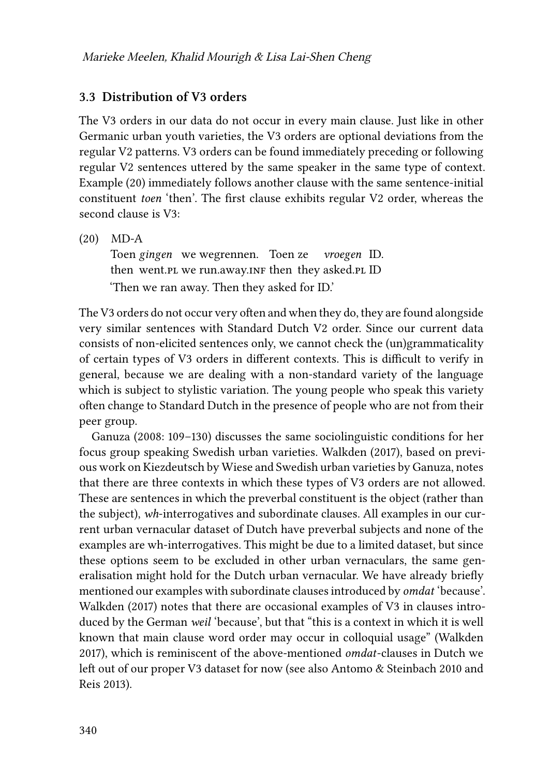#### **3.3 Distribution of V3 orders**

The V3 orders in our data do not occur in every main clause. Just like in other Germanic urban youth varieties, the V3 orders are optional deviations from the regular V2 patterns. V3 orders can be found immediately preceding or following regular V2 sentences uttered by the same speaker in the same type of context. Example([20](#page-13-0)) immediately follows another clause with the same sentence-initial constituent *toen* 'then'. The first clause exhibits regular V2 order, whereas the second clause is V3:

<span id="page-13-0"></span>(20) MD-A

Toen *gingen* we wegrennen. Toen ze then went.p1 we run.away.inf then they asked.p1 ID *vroegen* ID. 'Then we ran away. Then they asked for ID.'

The V3 orders do not occur very often and when they do, they are found alongside very similar sentences with Standard Dutch V2 order. Since our current data consists of non-elicited sentences only, we cannot check the (un)grammaticality of certain types of V3 orders in different contexts. This is difficult to verify in general, because we are dealing with a non-standard variety of the language which is subject to stylistic variation. The young people who speak this variety often change to Standard Dutch in the presence of people who are not from their peer group.

[Ganuza \(2008:](#page-26-1) 109–130) discusses the same sociolinguistic conditions for her focus group speaking Swedish urban varieties. [Walkden \(2017\)](#page-27-1), based on previous work on Kiezdeutsch by Wiese and Swedish urban varieties by Ganuza, notes that there are three contexts in which these types of V3 orders are not allowed. These are sentences in which the preverbal constituent is the object (rather than the subject), *wh*-interrogatives and subordinate clauses. All examples in our current urban vernacular dataset of Dutch have preverbal subjects and none of the examples are wh-interrogatives. This might be due to a limited dataset, but since these options seem to be excluded in other urban vernaculars, the same generalisation might hold for the Dutch urban vernacular. We have already briefly mentioned our examples with subordinate clauses introduced by *omdat* 'because'. [Walkden \(2017\)](#page-27-1) notes that there are occasional examples of V3 in clauses introduced by the German *weil* 'because', but that "this is a context in which it is well known that main clause word order may occur in colloquial usage" [\(Walkden](#page-27-1) [2017\)](#page-27-1), which is reminiscent of the above-mentioned *omdat*-clauses in Dutch we left out of our proper V3 dataset for now (see also [Antomo & Steinbach 2010](#page-25-7) and [Reis 2013](#page-27-6)).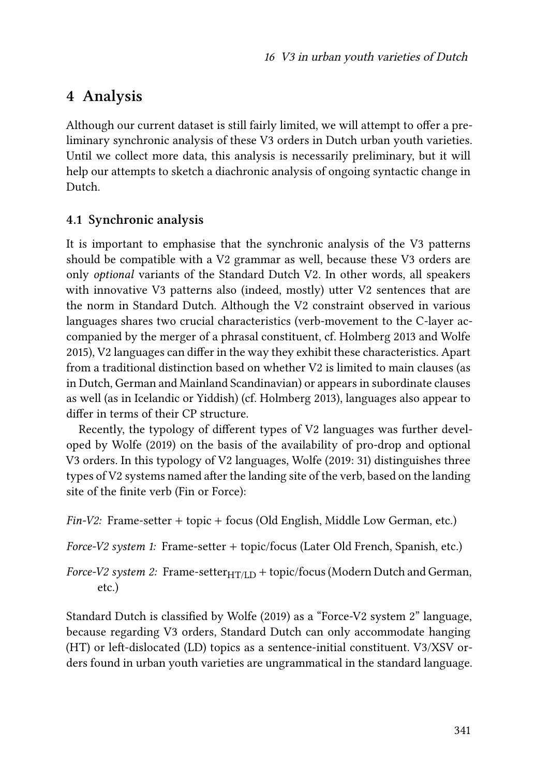# <span id="page-14-1"></span>**4 Analysis**

Although our current dataset is still fairly limited, we will attempt to offer a preliminary synchronic analysis of these V3 orders in Dutch urban youth varieties. Until we collect more data, this analysis is necessarily preliminary, but it will help our attempts to sketch a diachronic analysis of ongoing syntactic change in Dutch.

### <span id="page-14-0"></span>**4.1 Synchronic analysis**

It is important to emphasise that the synchronic analysis of the V3 patterns should be compatible with a V2 grammar as well, because these V3 orders are only *optional* variants of the Standard Dutch V2. In other words, all speakers with innovative V3 patterns also (indeed, mostly) utter V2 sentences that are the norm in Standard Dutch. Although the V2 constraint observed in various languages shares two crucial characteristics (verb-movement to the C-layer accompanied by the merger of a phrasal constituent, cf. [Holmberg 2013](#page-26-7) and [Wolfe](#page-28-3) [2015\)](#page-28-3), V2 languages can differ in the way they exhibit these characteristics. Apart from a traditional distinction based on whether V2 is limited to main clauses (as in Dutch, German and Mainland Scandinavian) or appears in subordinate clauses as well (as in Icelandic or Yiddish) (cf. [Holmberg 2013\)](#page-26-7), languages also appear to differ in terms of their CP structure.

Recently, the typology of different types of V2 languages was further developed by [Wolfe \(2019\)](#page-28-4) on the basis of the availability of pro-drop and optional V3 orders. In this typology of V2 languages, [Wolfe \(2019:](#page-28-4) 31) distinguishes three types of V2 systems named after the landing site of the verb, based on the landing site of the finite verb (Fin or Force):

*Fin-V2:* Frame-setter + topic + focus (Old English, Middle Low German, etc.)

*Force-V2 system 1:* Frame-setter + topic/focus (Later Old French, Spanish, etc.)

*Force-V2 system 2:* Frame-setter $_{\text{HT/LD}}$  + topic/focus (Modern Dutch and German, etc.)

Standard Dutch is classified by [Wolfe \(2019\)](#page-28-4) as a "Force-V2 system 2" language, because regarding V3 orders, Standard Dutch can only accommodate hanging (HT) or left-dislocated (LD) topics as a sentence-initial constituent. V3/XSV orders found in urban youth varieties are ungrammatical in the standard language.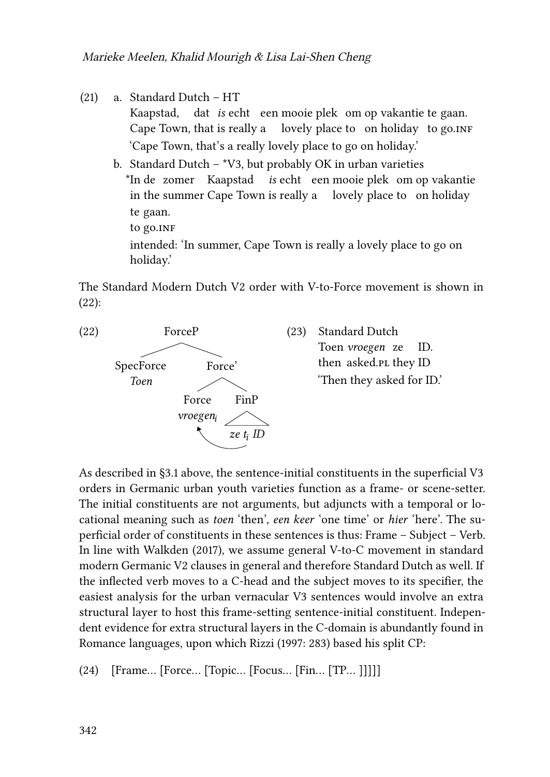(21) a. Standard Dutch – HT

Kaapstad, Cape Town, that is really a dat *is* echt een mooie plek om op vakantie te gaan. lovely place to on holiday to go.inғ 'Cape Town, that's a really lovely place to go on holiday.'

b. Standard Dutch –  $*V3$ , but probably OK in urban varieties \*In de zomer Kaapstad *is* echt een mooie plek om op vakantie in the summer Cape Town is really a lovely place to on holiday te gaan. to go.in<mark>f</mark> intended: 'In summer, Cape Town is really a lovely place to go on holiday.'

The Standard Modern Dutch V2 order with V-to-Force movement is shown in [\(22\)](#page-15-0):

<span id="page-15-0"></span>

As described in§[3.1](#page-6-3) above, the sentence-initial constituents in the superficial V3 orders in Germanic urban youth varieties function as a frame- or scene-setter. The initial constituents are not arguments, but adjuncts with a temporal or locational meaning such as *toen* 'then', *een keer* 'one time' or *hier* 'here'. The superficial order of constituents in these sentences is thus: Frame – Subject – Verb. In line with [Walkden \(2017\)](#page-27-1), we assume general V-to-C movement in standard modern Germanic V2 clauses in general and therefore Standard Dutch as well. If the inflected verb moves to a C-head and the subject moves to its specifier, the easiest analysis for the urban vernacular V3 sentences would involve an extra structural layer to host this frame-setting sentence-initial constituent. Independent evidence for extra structural layers in the C-domain is abundantly found in Romance languages, upon which [Rizzi \(1997](#page-27-7): 283) based his split CP:

(24) [Frame… [Force… [Topic… [Focus… [Fin… [TP… ]]]]]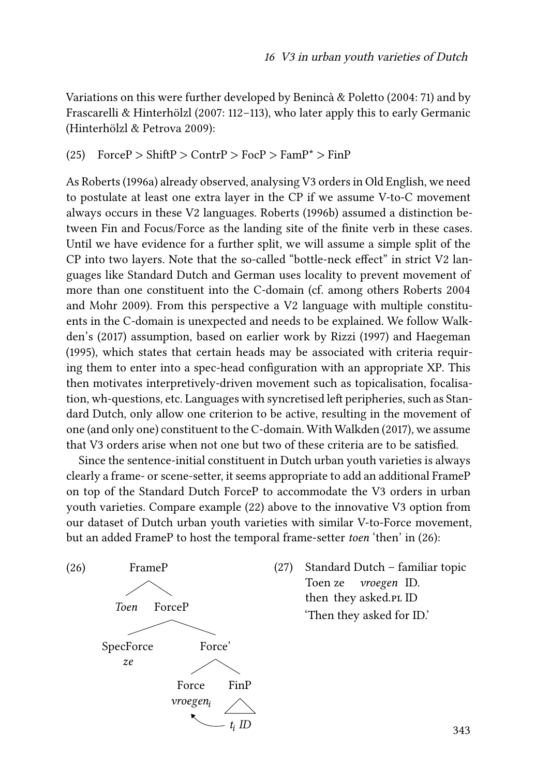Variations on this were further developed by [Benincà & Poletto \(2004:](#page-25-8) 71) and by [Frascarelli & Hinterhölzl \(2007:](#page-25-9) 112–113), who later apply this to early Germanic [\(Hinterhölzl & Petrova 2009\)](#page-26-8):

 $(25)$  Force  $\triangleright$  Shift  $\triangleright$  Contr  $\triangleright$  Foc  $\triangleright$  Fam  $P^*$   $>$  Fin  $\triangleright$ 

As [Roberts \(1996a\)](#page-27-8) already observed, analysing V3 orders in Old English, we need to postulate at least one extra layer in the CP if we assume V-to-C movement always occurs in these V2 languages. [Roberts \(1996b\)](#page-27-9) assumed a distinction between Fin and Focus/Force as the landing site of the finite verb in these cases. Until we have evidence for a further split, we will assume a simple split of the CP into two layers. Note that the so-called "bottle-neck effect" in strict V2 languages like Standard Dutch and German uses locality to prevent movement of more than one constituent into the C-domain (cf. among others [Roberts 2004](#page-27-10) and [Mohr 2009\)](#page-26-9). From this perspective a V2 language with multiple constituents in the C-domain is unexpected and needs to be explained. We follow [Walk](#page-27-1)[den](#page-27-1)'s (2017) assumption, based on earlier work by [Rizzi \(1997\)](#page-27-7) and [Haegeman](#page-26-10) [\(1995\),](#page-26-10) which states that certain heads may be associated with criteria requiring them to enter into a spec-head configuration with an appropriate XP. This then motivates interpretively-driven movement such as topicalisation, focalisation, wh-questions, etc. Languages with syncretised left peripheries, such as Standard Dutch, only allow one criterion to be active, resulting in the movement of one (and only one) constituent to the C-domain. With [Walkden \(2017\)](#page-27-1), we assume that V3 orders arise when not one but two of these criteria are to be satisfied.

Since the sentence-initial constituent in Dutch urban youth varieties is always clearly a frame- or scene-setter, it seems appropriate to add an additional FrameP on top of the Standard Dutch ForceP to accommodate the V3 orders in urban youth varieties. Compare example([22](#page-15-0)) above to the innovative V3 option from our dataset of Dutch urban youth varieties with similar V-to-Force movement, but an added FrameP to host the temporal frame-setter *toen* 'then' in([26](#page-16-0)):

<span id="page-16-0"></span>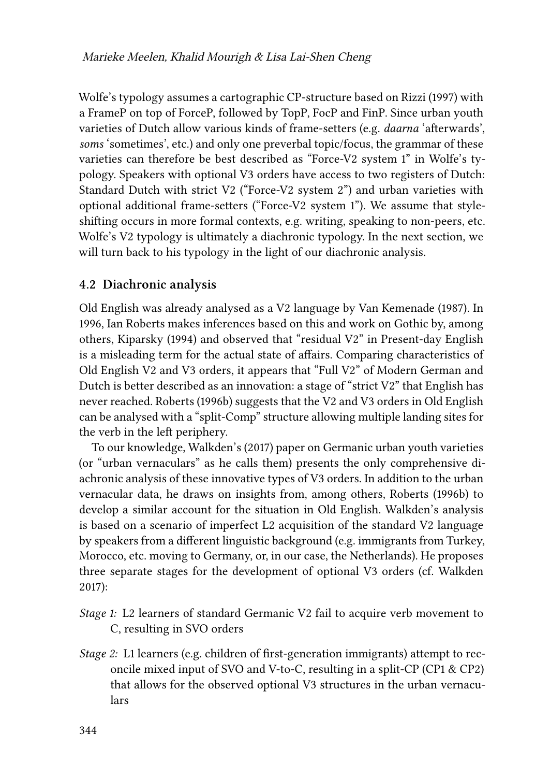Wolfe's typology assumes a cartographic CP-structure based on [Rizzi \(1997\)](#page-27-7) with a FrameP on top of ForceP, followed by TopP, FocP and FinP. Since urban youth varieties of Dutch allow various kinds of frame-setters (e.g. *daarna* 'afterwards', *soms* 'sometimes', etc.) and only one preverbal topic/focus, the grammar of these varieties can therefore be best described as "Force-V2 system 1" in Wolfe's typology. Speakers with optional V3 orders have access to two registers of Dutch: Standard Dutch with strict V2 ("Force-V2 system 2") and urban varieties with optional additional frame-setters ("Force-V2 system 1"). We assume that styleshifting occurs in more formal contexts, e.g. writing, speaking to non-peers, etc. Wolfe's V2 typology is ultimately a diachronic typology. In the next section, we will turn back to his typology in the light of our diachronic analysis.

#### <span id="page-17-0"></span>**4.2 Diachronic analysis**

Old English was already analysed as a V2 language by [Van Kemenade \(1987\)](#page-27-11). In 1996, Ian Roberts makes inferences based on this and work on Gothic by, among others, [Kiparsky \(1994\)](#page-26-11) and observed that "residual V2" in Present-day English is a misleading term for the actual state of affairs. Comparing characteristics of Old English V2 and V3 orders, it appears that "Full V2" of Modern German and Dutch is better described as an innovation: a stage of "strict V2" that English has never reached. [Roberts \(1996b\)](#page-27-9) suggests that the V2 and V3 orders in Old English can be analysed with a "split-Comp" structure allowing multiple landing sites for the verb in the left periphery.

To our knowledge, [Walkden](#page-27-1)'s (2017) paper on Germanic urban youth varieties (or "urban vernaculars" as he calls them) presents the only comprehensive diachronic analysis of these innovative types of V3 orders. In addition to the urban vernacular data, he draws on insights from, among others, [Roberts \(1996b\)](#page-27-9) to develop a similar account for the situation in Old English. Walkden's analysis is based on a scenario of imperfect L2 acquisition of the standard V2 language by speakers from a different linguistic background (e.g. immigrants from Turkey, Morocco, etc. moving to Germany, or, in our case, the Netherlands). He proposes three separate stages for the development of optional V3 orders (cf. [Walkden](#page-27-1) [2017\)](#page-27-1):

- *Stage 1:* L2 learners of standard Germanic V2 fail to acquire verb movement to C, resulting in SVO orders
- *Stage 2:* L1 learners (e.g. children of first-generation immigrants) attempt to reconcile mixed input of SVO and V-to-C, resulting in a split-CP (CP1 & CP2) that allows for the observed optional V3 structures in the urban vernaculars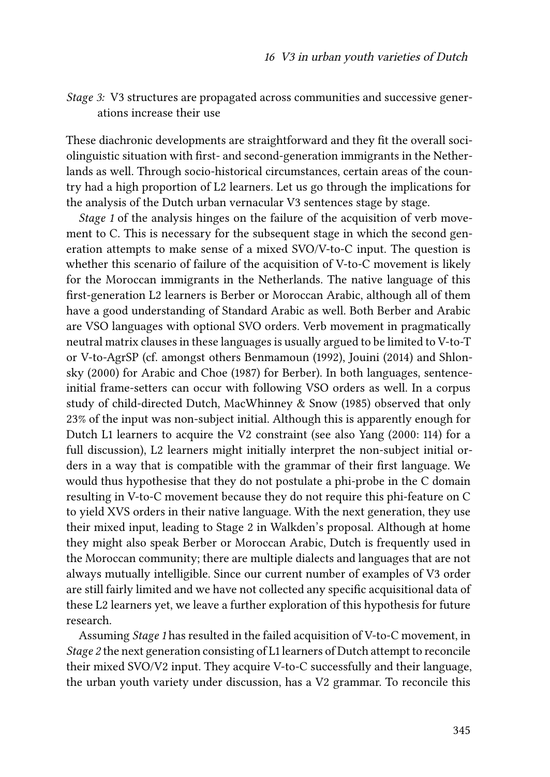*Stage 3:* V3 structures are propagated across communities and successive generations increase their use

These diachronic developments are straightforward and they fit the overall sociolinguistic situation with first- and second-generation immigrants in the Netherlands as well. Through socio-historical circumstances, certain areas of the country had a high proportion of L2 learners. Let us go through the implications for the analysis of the Dutch urban vernacular V3 sentences stage by stage.

*Stage 1* of the analysis hinges on the failure of the acquisition of verb movement to C. This is necessary for the subsequent stage in which the second generation attempts to make sense of a mixed SVO/V-to-C input. The question is whether this scenario of failure of the acquisition of V-to-C movement is likely for the Moroccan immigrants in the Netherlands. The native language of this first-generation L2 learners is Berber or Moroccan Arabic, although all of them have a good understanding of Standard Arabic as well. Both Berber and Arabic are VSO languages with optional SVO orders. Verb movement in pragmatically neutral matrix clauses in these languages is usually argued to be limited to V-to-T or V-to-AgrSP (cf. amongst others [Benmamoun \(1992\)](#page-25-10), [Jouini \(2014\)](#page-26-12) and [Shlon](#page-27-12)[sky \(2000\)](#page-27-12) for Arabic and [Choe \(1987\)](#page-25-11) for Berber). In both languages, sentenceinitial frame-setters can occur with following VSO orders as well. In a corpus study of child-directed Dutch, [MacWhinney & Snow \(1985\)](#page-26-13) observed that only 23% of the input was non-subject initial. Although this is apparently enough for Dutch L1 learners to acquire the V2 constraint (see also [Yang \(2000:](#page-28-5) 114) for a full discussion), L2 learners might initially interpret the non-subject initial orders in a way that is compatible with the grammar of their first language. We would thus hypothesise that they do not postulate a phi-probe in the C domain resulting in V-to-C movement because they do not require this phi-feature on C to yield XVS orders in their native language. With the next generation, they use their mixed input, leading to Stage 2 in Walkden's proposal. Although at home they might also speak Berber or Moroccan Arabic, Dutch is frequently used in the Moroccan community; there are multiple dialects and languages that are not always mutually intelligible. Since our current number of examples of V3 order are still fairly limited and we have not collected any specific acquisitional data of these L2 learners yet, we leave a further exploration of this hypothesis for future research.

Assuming *Stage 1* has resulted in the failed acquisition of V-to-C movement, in *Stage 2* the next generation consisting of L1 learners of Dutch attempt to reconcile their mixed SVO/V2 input. They acquire V-to-C successfully and their language, the urban youth variety under discussion, has a V2 grammar. To reconcile this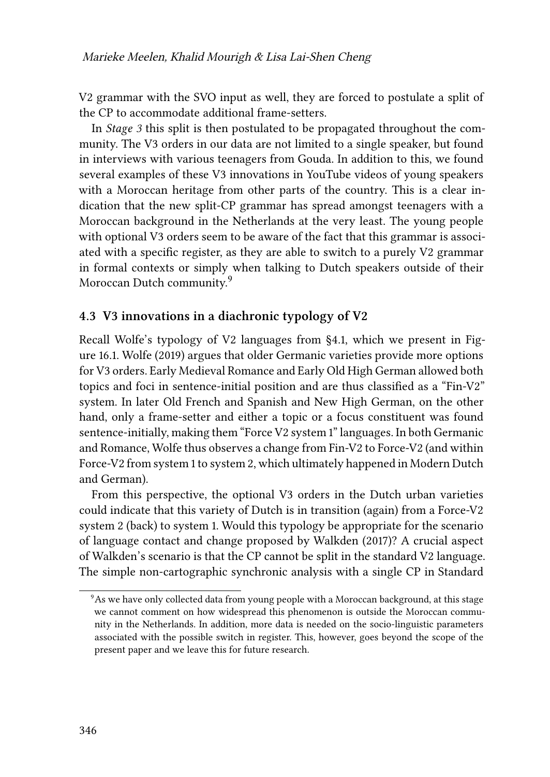V2 grammar with the SVO input as well, they are forced to postulate a split of the CP to accommodate additional frame-setters.

In *Stage 3* this split is then postulated to be propagated throughout the community. The V3 orders in our data are not limited to a single speaker, but found in interviews with various teenagers from Gouda. In addition to this, we found several examples of these V3 innovations in YouTube videos of young speakers with a Moroccan heritage from other parts of the country. This is a clear indication that the new split-CP grammar has spread amongst teenagers with a Moroccan background in the Netherlands at the very least. The young people with optional V3 orders seem to be aware of the fact that this grammar is associated with a specific register, as they are able to switch to a purely V2 grammar in formal contexts or simply when talking to Dutch speakers outside of their Moroccan Dutch community.<sup>9</sup>

#### **4.3 V3 innovations in a diachronic typology of V2**

Recall Wolfe's typology of V2 languages from§[4.1](#page-14-0), which we present in Figure [16.1](#page-20-0). [Wolfe \(2019\)](#page-28-4) argues that older Germanic varieties provide more options for V3 orders. Early Medieval Romance and Early Old High German allowed both topics and foci in sentence-initial position and are thus classified as a "Fin-V2" system. In later Old French and Spanish and New High German, on the other hand, only a frame-setter and either a topic or a focus constituent was found sentence-initially, making them "Force V2 system 1" languages. In both Germanic and Romance, Wolfe thus observes a change from Fin-V2 to Force-V2 (and within Force-V2 from system 1 to system 2, which ultimately happened in Modern Dutch and German).

From this perspective, the optional V3 orders in the Dutch urban varieties could indicate that this variety of Dutch is in transition (again) from a Force-V2 system 2 (back) to system 1. Would this typology be appropriate for the scenario of language contact and change proposed by [Walkden \(2017\)](#page-27-1)? A crucial aspect of Walkden's scenario is that the CP cannot be split in the standard V2 language. The simple non-cartographic synchronic analysis with a single CP in Standard

<sup>9</sup>As we have only collected data from young people with a Moroccan background, at this stage we cannot comment on how widespread this phenomenon is outside the Moroccan community in the Netherlands. In addition, more data is needed on the socio-linguistic parameters associated with the possible switch in register. This, however, goes beyond the scope of the present paper and we leave this for future research.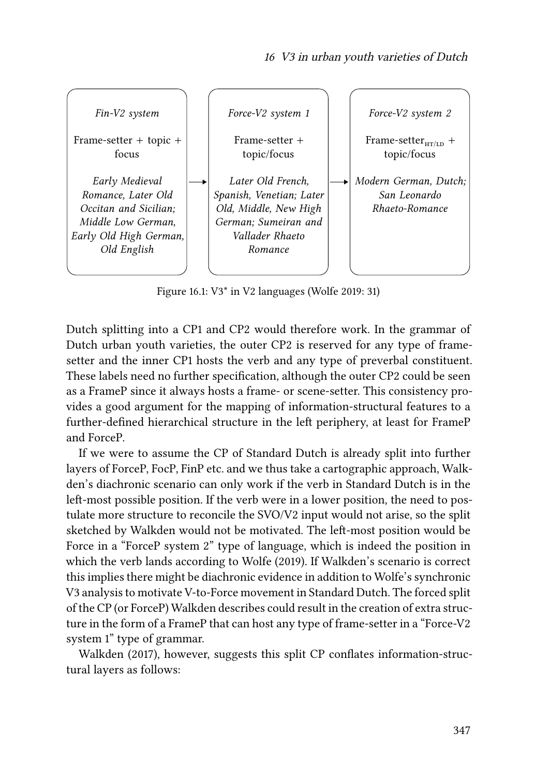<span id="page-20-0"></span>

Figure 16.1: V3\* in V2 languages([Wolfe 2019:](#page-28-4) 31)

Dutch splitting into a CP1 and CP2 would therefore work. In the grammar of Dutch urban youth varieties, the outer CP2 is reserved for any type of framesetter and the inner CP1 hosts the verb and any type of preverbal constituent. These labels need no further specification, although the outer CP2 could be seen as a FrameP since it always hosts a frame- or scene-setter. This consistency provides a good argument for the mapping of information-structural features to a further-defined hierarchical structure in the left periphery, at least for FrameP and ForceP.

If we were to assume the CP of Standard Dutch is already split into further layers of ForceP, FocP, FinP etc. and we thus take a cartographic approach, Walkden's diachronic scenario can only work if the verb in Standard Dutch is in the left-most possible position. If the verb were in a lower position, the need to postulate more structure to reconcile the SVO/V2 input would not arise, so the split sketched by Walkden would not be motivated. The left-most position would be Force in a "ForceP system 2" type of language, which is indeed the position in which the verb lands according to [Wolfe \(2019\)](#page-28-4). If Walkden's scenario is correct this implies there might be diachronic evidence in addition to Wolfe's synchronic V3 analysis to motivate V-to-Force movement in Standard Dutch. The forced split of the CP (or ForceP) Walkden describes could result in the creation of extra structure in the form of a FrameP that can host any type of frame-setter in a "Force-V2 system 1" type of grammar.

[Walkden \(2017\),](#page-27-1) however, suggests this split CP conflates information-structural layers as follows: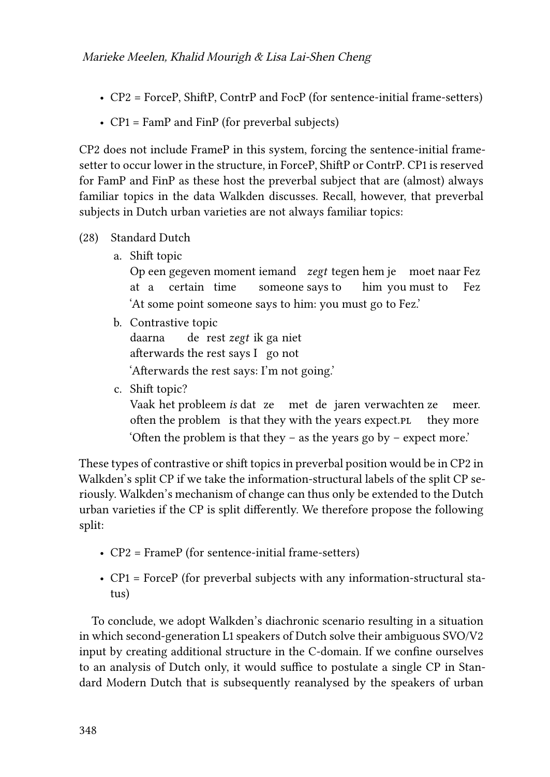- CP2 = ForceP, ShiftP, ContrP and FocP (for sentence-initial frame-setters)
- CP1 = FamP and FinP (for preverbal subjects)

CP2 does not include FrameP in this system, forcing the sentence-initial framesetter to occur lower in the structure, in ForceP, ShiftP or ContrP. CP1 is reserved for FamP and FinP as these host the preverbal subject that are (almost) always familiar topics in the data Walkden discusses. Recall, however, that preverbal subjects in Dutch urban varieties are not always familiar topics:

- (28) Standard Dutch
	- a. Shift topic

Op een gegeven moment iemand *zegt* tegen hem je moet naar Fez at a certain time someone says to him you must to Fez 'At some point someone says to him: you must go to Fez.'

b. Contrastive topic

daarna afterwards the rest says I go not de rest *zegt* ik ga niet 'Afterwards the rest says: I'm not going.'

c. Shift topic?

Vaak het probleem *is* dat ze met de jaren verwachten ze often the problem is that they with the years expect.pl they more meer. 'Often the problem is that they – as the years go by – expect more.'

These types of contrastive or shift topics in preverbal position would be in CP2 in Walkden's split CP if we take the information-structural labels of the split CP seriously. Walkden's mechanism of change can thus only be extended to the Dutch urban varieties if the CP is split differently. We therefore propose the following split:

- CP2 = FrameP (for sentence-initial frame-setters)
- CP1 = ForceP (for preverbal subjects with any information-structural status)

To conclude, we adopt Walkden's diachronic scenario resulting in a situation in which second-generation L1 speakers of Dutch solve their ambiguous SVO/V2 input by creating additional structure in the C-domain. If we confine ourselves to an analysis of Dutch only, it would suffice to postulate a single CP in Standard Modern Dutch that is subsequently reanalysed by the speakers of urban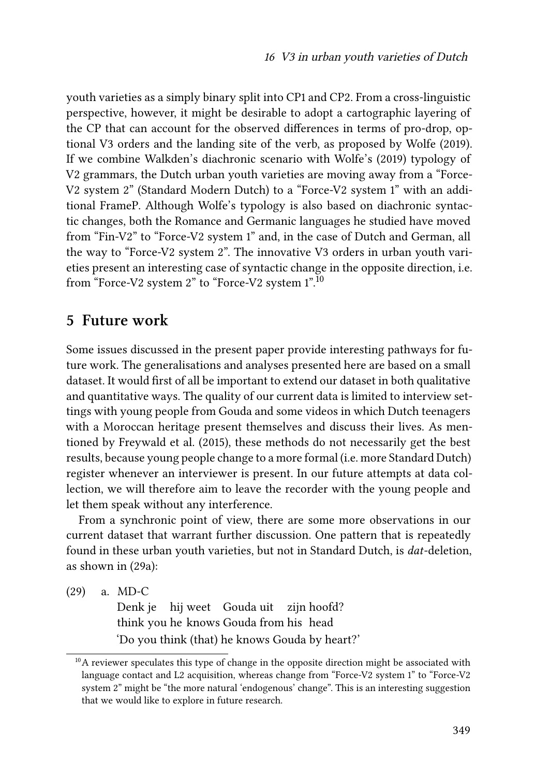youth varieties as a simply binary split into CP1 and CP2. From a cross-linguistic perspective, however, it might be desirable to adopt a cartographic layering of the CP that can account for the observed differences in terms of pro-drop, optional V3 orders and the landing site of the verb, as proposed by [Wolfe \(2019\).](#page-28-4) If we combine Walkden's diachronic scenario with [Wolfe](#page-28-4)'s (2019) typology of V2 grammars, the Dutch urban youth varieties are moving away from a "Force-V2 system 2" (Standard Modern Dutch) to a "Force-V2 system 1" with an additional FrameP. Although Wolfe's typology is also based on diachronic syntactic changes, both the Romance and Germanic languages he studied have moved from "Fin-V2" to "Force-V2 system 1" and, in the case of Dutch and German, all the way to "Force-V2 system 2". The innovative V3 orders in urban youth varieties present an interesting case of syntactic change in the opposite direction, i.e. from "Force-V2 system 2" to "Force-V2 system 1".<sup>10</sup>

### <span id="page-22-0"></span>**5 Future work**

Some issues discussed in the present paper provide interesting pathways for future work. The generalisations and analyses presented here are based on a small dataset. It would first of all be important to extend our dataset in both qualitative and quantitative ways. The quality of our current data is limited to interview settings with young people from Gouda and some videos in which Dutch teenagers with a Moroccan heritage present themselves and discuss their lives. As mentioned by [Freywald et al. \(2015\)](#page-26-0), these methods do not necessarily get the best results, because young people change to a more formal (i.e. more Standard Dutch) register whenever an interviewer is present. In our future attempts at data collection, we will therefore aim to leave the recorder with the young people and let them speak without any interference.

From a synchronic point of view, there are some more observations in our current dataset that warrant further discussion. One pattern that is repeatedly found in these urban youth varieties, but not in Standard Dutch, is *dat*-deletion, as shown in [\(29a\)](#page-22-1):

<span id="page-22-1"></span>(29) a. MD-C

Denk je hij weet Gouda uit think you he knows Gouda from his head zijn hoofd? 'Do you think (that) he knows Gouda by heart?'

 $10$ A reviewer speculates this type of change in the opposite direction might be associated with language contact and L2 acquisition, whereas change from "Force-V2 system 1" to "Force-V2 system 2" might be "the more natural 'endogenous' change". This is an interesting suggestion that we would like to explore in future research.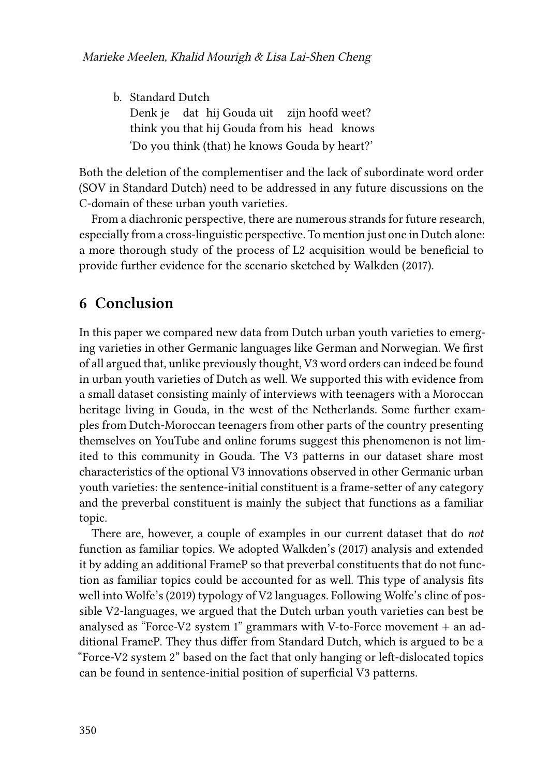b. Standard Dutch Denk je think you that hij Gouda from his head knows dat hij Gouda uit zijn hoofd weet? 'Do you think (that) he knows Gouda by heart?'

Both the deletion of the complementiser and the lack of subordinate word order (SOV in Standard Dutch) need to be addressed in any future discussions on the C-domain of these urban youth varieties.

From a diachronic perspective, there are numerous strands for future research, especially from a cross-linguistic perspective. To mention just one in Dutch alone: a more thorough study of the process of L2 acquisition would be beneficial to provide further evidence for the scenario sketched by [Walkden \(2017\)](#page-27-1).

### **6 Conclusion**

In this paper we compared new data from Dutch urban youth varieties to emerging varieties in other Germanic languages like German and Norwegian. We first of all argued that, unlike previously thought, V3 word orders can indeed be found in urban youth varieties of Dutch as well. We supported this with evidence from a small dataset consisting mainly of interviews with teenagers with a Moroccan heritage living in Gouda, in the west of the Netherlands. Some further examples from Dutch-Moroccan teenagers from other parts of the country presenting themselves on YouTube and online forums suggest this phenomenon is not limited to this community in Gouda. The V3 patterns in our dataset share most characteristics of the optional V3 innovations observed in other Germanic urban youth varieties: the sentence-initial constituent is a frame-setter of any category and the preverbal constituent is mainly the subject that functions as a familiar topic.

There are, however, a couple of examples in our current dataset that do *not* function as familiar topics. We adopted [Walkden'](#page-27-1)s (2017) analysis and extended it by adding an additional FrameP so that preverbal constituents that do not function as familiar topics could be accounted for as well. This type of analysis fits well into [Wolfe'](#page-28-4)s (2019) typology of V2 languages. Following Wolfe's cline of possible V2-languages, we argued that the Dutch urban youth varieties can best be analysed as "Force-V2 system 1" grammars with V-to-Force movement + an additional FrameP. They thus differ from Standard Dutch, which is argued to be a "Force-V2 system 2" based on the fact that only hanging or left-dislocated topics can be found in sentence-initial position of superficial V3 patterns.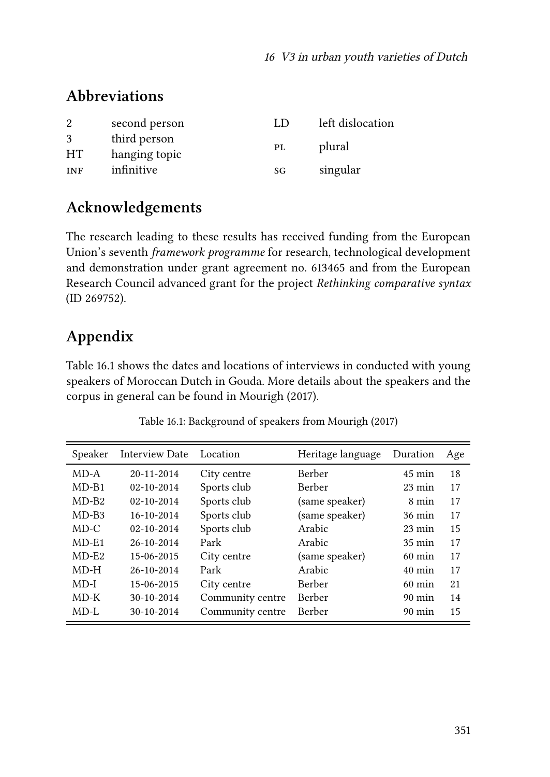## **Abbreviations**

| 2              | second person                 | LD | left dislocation |
|----------------|-------------------------------|----|------------------|
| 3<br><b>HT</b> | third person<br>hanging topic | PL | plural           |
| <b>INF</b>     | infinitive                    | SG | singular         |

# **Acknowledgements**

The research leading to these results has received funding from the European Union's seventh *framework programme* for research, technological development and demonstration under grant agreement no. 613465 and from the European Research Council advanced grant for the project *Rethinking comparative syntax* (ID 269752).

# **Appendix**

Table [16.1](#page-24-0) shows the dates and locations of interviews in conducted with young speakers of Moroccan Dutch in Gouda. More details about the speakers and the corpus in general can be found in [Mourigh \(2017\)](#page-26-4).

<span id="page-24-0"></span>

| Speaker | <b>Interview Date</b> | Location         | Heritage language | Duration         | Age |
|---------|-----------------------|------------------|-------------------|------------------|-----|
| $MD-A$  | $20 - 11 - 2014$      | City centre      | Berber            | $45 \text{ min}$ | 18  |
| $MD-B1$ | $02 - 10 - 2014$      | Sports club      | Berber            | $23 \text{ min}$ | 17  |
| $MD-B2$ | $02 - 10 - 2014$      | Sports club      | (same speaker)    | 8 min            | 17  |
| $MD-BA$ | $16 - 10 - 2014$      | Sports club      | (same speaker)    | $36 \text{ min}$ | 17  |
| $MD-C$  | $02 - 10 - 2014$      | Sports club      | Arabic            | $23 \text{ min}$ | 15  |
| $MD-E1$ | $26 - 10 - 2014$      | Park             | Arabic            | $35 \text{ min}$ | 17  |
| $MD-E2$ | 15-06-2015            | City centre      | (same speaker)    | $60 \text{ min}$ | 17  |
| $MD-H$  | $26 - 10 - 2014$      | Park             | Arabic            | $40 \text{ min}$ | 17  |
| $MD-I$  | 15-06-2015            | City centre      | Berber            | $60 \text{ min}$ | 21  |
| $MD-K$  | $30 - 10 - 2014$      | Community centre | Berber            | $90 \text{ min}$ | 14  |
| MD-L    | $30 - 10 - 2014$      | Community centre | Berber            | $90 \text{ min}$ | 15  |

Table 16.1: Background of speakers from [Mourigh \(2017\)](#page-26-4)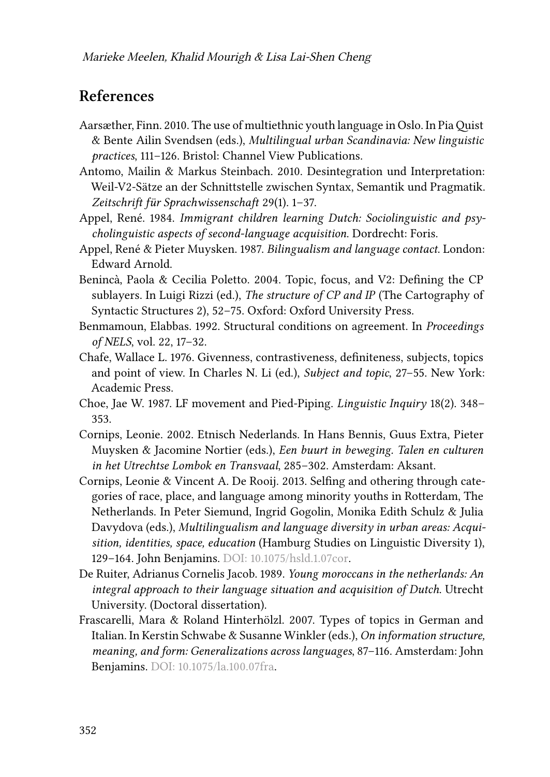## **References**

- <span id="page-25-0"></span>Aarsæther, Finn. 2010. The use of multiethnic youth language in Oslo. In Pia Quist & Bente Ailin Svendsen (eds.), *Multilingual urban Scandinavia: New linguistic practices*, 111–126. Bristol: Channel View Publications.
- <span id="page-25-7"></span>Antomo, Mailin & Markus Steinbach. 2010. Desintegration und Interpretation: Weil-V2-Sätze an der Schnittstelle zwischen Syntax, Semantik und Pragmatik. *Zeitschrift für Sprachwissenschaft* 29(1). 1–37.
- <span id="page-25-1"></span>Appel, René. 1984. *Immigrant children learning Dutch: Sociolinguistic and psycholinguistic aspects of second-language acquisition*. Dordrecht: Foris.
- <span id="page-25-2"></span>Appel, René & Pieter Muysken. 1987. *Bilingualism and language contact*. London: Edward Arnold.
- <span id="page-25-8"></span>Benincà, Paola & Cecilia Poletto. 2004. Topic, focus, and V2: Defining the CP sublayers. In Luigi Rizzi (ed.), *The structure of CP and IP* (The Cartography of Syntactic Structures 2), 52–75. Oxford: Oxford University Press.
- <span id="page-25-10"></span>Benmamoun, Elabbas. 1992. Structural conditions on agreement. In *Proceedings of NELS*, vol. 22, 17–32.
- <span id="page-25-6"></span>Chafe, Wallace L. 1976. Givenness, contrastiveness, definiteness, subjects, topics and point of view. In Charles N. Li (ed.), *Subject and topic*, 27–55. New York: Academic Press.
- <span id="page-25-11"></span>Choe, Jae W. 1987. LF movement and Pied-Piping. *Linguistic Inquiry* 18(2). 348– 353.
- <span id="page-25-3"></span>Cornips, Leonie. 2002. Etnisch Nederlands. In Hans Bennis, Guus Extra, Pieter Muysken & Jacomine Nortier (eds.), *Een buurt in beweging. Talen en culturen in het Utrechtse Lombok en Transvaal*, 285–302. Amsterdam: Aksant.
- <span id="page-25-4"></span>Cornips, Leonie & Vincent A. De Rooij. 2013. Selfing and othering through categories of race, place, and language among minority youths in Rotterdam, The Netherlands. In Peter Siemund, Ingrid Gogolin, Monika Edith Schulz & Julia Davydova (eds.), *Multilingualism and language diversity in urban areas: Acquisition, identities, space, education* (Hamburg Studies on Linguistic Diversity 1), 129–164. John Benjamins. DOI: [10.1075/hsld.1.07cor](https://doi.org/10.1075/hsld.1.07cor).
- <span id="page-25-5"></span>De Ruiter, Adrianus Cornelis Jacob. 1989. *Young moroccans in the netherlands: An integral approach to their language situation and acquisition of Dutch*. Utrecht University. (Doctoral dissertation).
- <span id="page-25-9"></span>Frascarelli, Mara & Roland Hinterhölzl. 2007. Types of topics in German and Italian. In Kerstin Schwabe & Susanne Winkler (eds.), *On information structure, meaning, and form: Generalizations across languages*, 87–116. Amsterdam: John Benjamins. DOI: [10.1075/la.100.07fra](https://doi.org/10.1075/la.100.07fra).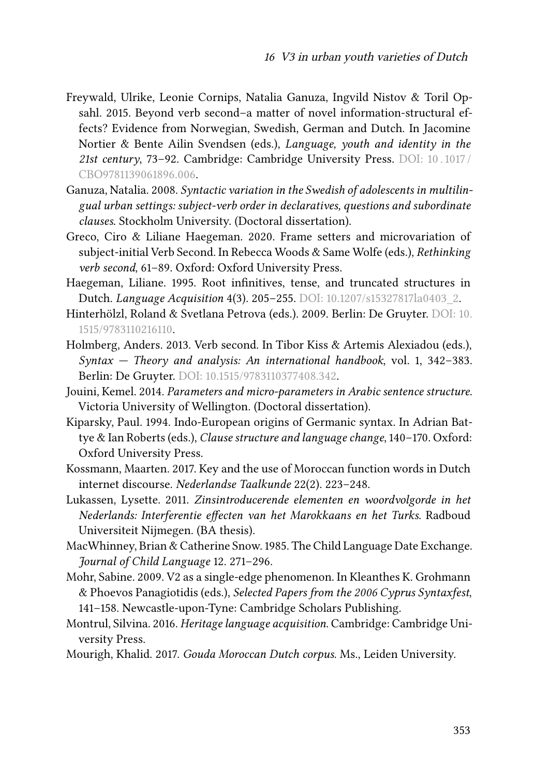- <span id="page-26-0"></span>Freywald, Ulrike, Leonie Cornips, Natalia Ganuza, Ingvild Nistov & Toril Opsahl. 2015. Beyond verb second–a matter of novel information-structural effects? Evidence from Norwegian, Swedish, German and Dutch. In Jacomine Nortier & Bente Ailin Svendsen (eds.), *Language, youth and identity in the 21st century*, 73–92. Cambridge: Cambridge University Press. DOI: [10 . 1017 /](https://doi.org/10.1017/CBO9781139061896.006) [CBO9781139061896.006](https://doi.org/10.1017/CBO9781139061896.006).
- <span id="page-26-1"></span>Ganuza, Natalia. 2008. *Syntactic variation in the Swedish of adolescents in multilingual urban settings: subject-verb order in declaratives, questions and subordinate clauses*. Stockholm University. (Doctoral dissertation).
- <span id="page-26-6"></span>Greco, Ciro & Liliane Haegeman. 2020. Frame setters and microvariation of subject-initial Verb Second. In Rebecca Woods & Same Wolfe (eds.), *Rethinking verb second*, 61–89. Oxford: Oxford University Press.
- <span id="page-26-10"></span>Haegeman, Liliane. 1995. Root infinitives, tense, and truncated structures in Dutch. *Language Acquisition* 4(3). 205–255. DOI: [10.1207/s15327817la0403\\_2](https://doi.org/10.1207/s15327817la0403_2).
- <span id="page-26-8"></span>Hinterhölzl, Roland & Svetlana Petrova (eds.). 2009. Berlin: De Gruyter. DOI: [10.](https://doi.org/10.1515/9783110216110) [1515/9783110216110](https://doi.org/10.1515/9783110216110).
- <span id="page-26-7"></span>Holmberg, Anders. 2013. Verb second. In Tibor Kiss & Artemis Alexiadou (eds.), *Syntax — Theory and analysis: An international handbook*, vol. 1, 342–383. Berlin: De Gruyter. DOI: [10.1515/9783110377408.342.](https://doi.org/10.1515/9783110377408.342)
- <span id="page-26-12"></span>Jouini, Kemel. 2014. *Parameters and micro-parameters in Arabic sentence structure*. Victoria University of Wellington. (Doctoral dissertation).
- <span id="page-26-11"></span>Kiparsky, Paul. 1994. Indo-European origins of Germanic syntax. In Adrian Battye & Ian Roberts (eds.), *Clause structure and language change*, 140–170. Oxford: Oxford University Press.
- <span id="page-26-5"></span>Kossmann, Maarten. 2017. Key and the use of Moroccan function words in Dutch internet discourse. *Nederlandse Taalkunde* 22(2). 223–248.
- <span id="page-26-2"></span>Lukassen, Lysette. 2011. *Zinsintroducerende elementen en woordvolgorde in het Nederlands: Interferentie effecten van het Marokkaans en het Turks*. Radboud Universiteit Nijmegen. (BA thesis).
- <span id="page-26-13"></span>MacWhinney, Brian & Catherine Snow. 1985. The Child Language Date Exchange. *Journal of Child Language* 12. 271–296.
- <span id="page-26-9"></span>Mohr, Sabine. 2009. V2 as a single-edge phenomenon. In Kleanthes K. Grohmann & Phoevos Panagiotidis (eds.), *Selected Papers from the 2006 Cyprus Syntaxfest*, 141–158. Newcastle-upon-Tyne: Cambridge Scholars Publishing.
- <span id="page-26-3"></span>Montrul, Silvina. 2016. *Heritage language acquisition*. Cambridge: Cambridge University Press.
- <span id="page-26-4"></span>Mourigh, Khalid. 2017. *Gouda Moroccan Dutch corpus*. Ms., Leiden University.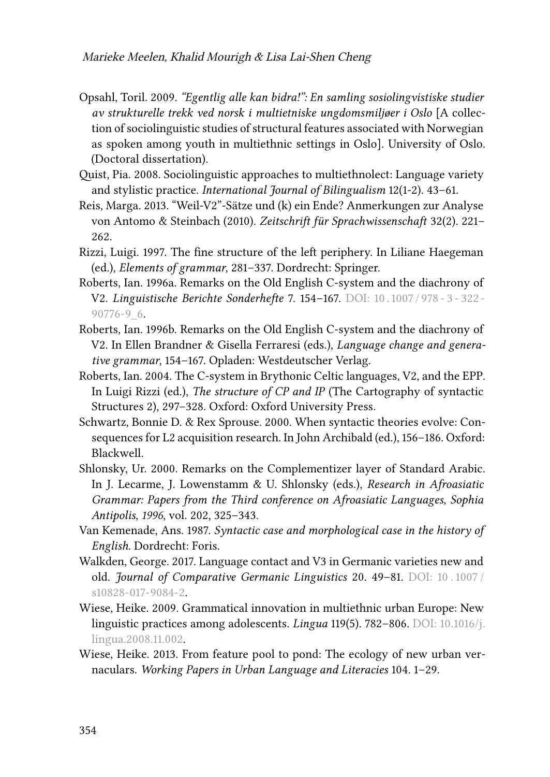- <span id="page-27-3"></span>Opsahl, Toril. 2009. *"Egentlig alle kan bidra!": En samling sosiolingvistiske studier av strukturelle trekk ved norsk i multietniske ungdomsmiljøer i Oslo* [A collection of sociolinguistic studies of structural features associated with Norwegian as spoken among youth in multiethnic settings in Oslo]. University of Oslo. (Doctoral dissertation).
- <span id="page-27-4"></span>Quist, Pia. 2008. Sociolinguistic approaches to multiethnolect: Language variety and stylistic practice. *International Journal of Bilingualism* 12(1-2). 43–61.
- <span id="page-27-6"></span>Reis, Marga. 2013. "Weil-V2"-Sätze und (k) ein Ende? Anmerkungen zur Analyse von Antomo & Steinbach (2010). *Zeitschrift für Sprachwissenschaft* 32(2). 221– 262.
- <span id="page-27-7"></span>Rizzi, Luigi. 1997. The fine structure of the left periphery. In Liliane Haegeman (ed.), *Elements of grammar*, 281–337. Dordrecht: Springer.
- <span id="page-27-8"></span>Roberts, Ian. 1996a. Remarks on the Old English C-system and the diachrony of V2. *Linguistische Berichte Sonderhefte* 7. 154–167. DOI: [10 . 1007 / 978 - 3 - 322 -](https://doi.org/10.1007/978-3-322-90776-9_6) [90776-9\\_6](https://doi.org/10.1007/978-3-322-90776-9_6).
- <span id="page-27-9"></span>Roberts, Ian. 1996b. Remarks on the Old English C-system and the diachrony of V2. In Ellen Brandner & Gisella Ferraresi (eds.), *Language change and generative grammar*, 154–167. Opladen: Westdeutscher Verlag.
- <span id="page-27-10"></span>Roberts, Ian. 2004. The C-system in Brythonic Celtic languages, V2, and the EPP. In Luigi Rizzi (ed.), *The structure of CP and IP* (The Cartography of syntactic Structures 2), 297–328. Oxford: Oxford University Press.
- <span id="page-27-5"></span>Schwartz, Bonnie D. & Rex Sprouse. 2000. When syntactic theories evolve: Consequences for L2 acquisition research. In John Archibald (ed.), 156–186. Oxford: Blackwell.
- <span id="page-27-12"></span>Shlonsky, Ur. 2000. Remarks on the Complementizer layer of Standard Arabic. In J. Lecarme, J. Lowenstamm & U. Shlonsky (eds.), *Research in Afroasiatic Grammar: Papers from the Third conference on Afroasiatic Languages, Sophia Antipolis, 1996*, vol. 202, 325–343.
- <span id="page-27-11"></span>Van Kemenade, Ans. 1987. *Syntactic case and morphological case in the history of English*. Dordrecht: Foris.
- <span id="page-27-1"></span>Walkden, George. 2017. Language contact and V3 in Germanic varieties new and old. *Journal of Comparative Germanic Linguistics* 20. 49–81. DOI: [10 . 1007 /](https://doi.org/10.1007/s10828-017-9084-2) [s10828-017-9084-2](https://doi.org/10.1007/s10828-017-9084-2).
- <span id="page-27-2"></span>Wiese, Heike. 2009. Grammatical innovation in multiethnic urban Europe: New linguistic practices among adolescents. *Lingua* 119(5). 782–806. DOI: [10.1016/j.](https://doi.org/10.1016/j.lingua.2008.11.002) [lingua.2008.11.002](https://doi.org/10.1016/j.lingua.2008.11.002).
- <span id="page-27-0"></span>Wiese, Heike. 2013. From feature pool to pond: The ecology of new urban vernaculars. *Working Papers in Urban Language and Literacies* 104. 1–29.